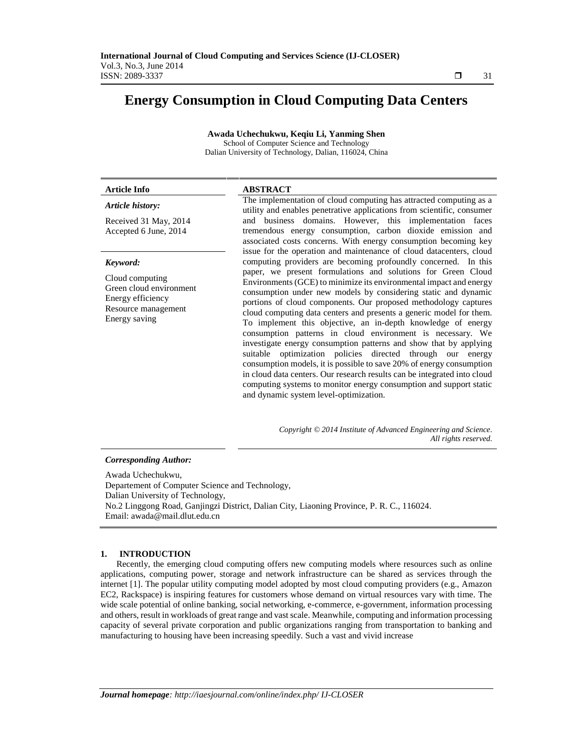# **Energy Consumption in Cloud Computing Data Centers**

**Awada Uchechukwu, Keqiu Li, Yanming Shen** School of Computer Science and Technology Dalian University of Technology, Dalian, 116024, China

| Article Info                                                                                                        | <b>ABSTRACT</b>                                                                                                                                                                                                                                                                                                                                                                                                                                                                                                                                                                                                                                                                                                                                                                                                                                                                                              |
|---------------------------------------------------------------------------------------------------------------------|--------------------------------------------------------------------------------------------------------------------------------------------------------------------------------------------------------------------------------------------------------------------------------------------------------------------------------------------------------------------------------------------------------------------------------------------------------------------------------------------------------------------------------------------------------------------------------------------------------------------------------------------------------------------------------------------------------------------------------------------------------------------------------------------------------------------------------------------------------------------------------------------------------------|
| Article history:                                                                                                    | The implementation of cloud computing has attracted computing as a<br>utility and enables penetrative applications from scientific, consumer                                                                                                                                                                                                                                                                                                                                                                                                                                                                                                                                                                                                                                                                                                                                                                 |
| Received 31 May, 2014<br>Accepted 6 June, 2014                                                                      | and business domains. However, this implementation faces<br>tremendous energy consumption, carbon dioxide emission and<br>associated costs concerns. With energy consumption becoming key                                                                                                                                                                                                                                                                                                                                                                                                                                                                                                                                                                                                                                                                                                                    |
| Keyword:<br>Cloud computing<br>Green cloud environment<br>Energy efficiency<br>Resource management<br>Energy saving | issue for the operation and maintenance of cloud datacenters, cloud<br>computing providers are becoming profoundly concerned. In this<br>paper, we present formulations and solutions for Green Cloud<br>Environments (GCE) to minimize its environmental impact and energy<br>consumption under new models by considering static and dynamic<br>portions of cloud components. Our proposed methodology captures<br>cloud computing data centers and presents a generic model for them.<br>To implement this objective, an in-depth knowledge of energy<br>consumption patterns in cloud environment is necessary. We<br>investigate energy consumption patterns and show that by applying<br>suitable optimization policies directed through our energy<br>consumption models, it is possible to save 20% of energy consumption<br>in cloud data centers. Our research results can be integrated into cloud |
|                                                                                                                     | computing systems to monitor energy consumption and support static                                                                                                                                                                                                                                                                                                                                                                                                                                                                                                                                                                                                                                                                                                                                                                                                                                           |

and dynamic system level-optimization.

*Copyright © 2014 Institute of Advanced Engineering and Science. All rights reserved.*

#### *Corresponding Author:*

Awada Uchechukwu, Departement of Computer Science and Technology, Dalian University of Technology, No.2 Linggong Road, Ganjingzi District, Dalian City, Liaoning Province, P. R. C., 116024. Email: awada@mail.dlut.edu.cn

#### **1. INTRODUCTION**

Recently, the emerging cloud computing offers new computing models where resources such as online applications, computing power, storage and network infrastructure can be shared as services through the internet [1]. The popular utility computing model adopted by most cloud computing providers (e.g., Amazon EC2, Rackspace) is inspiring features for customers whose demand on virtual resources vary with time. The wide scale potential of online banking, social networking, e-commerce, e-government, information processing and others, result in workloads of great range and vast scale. Meanwhile, computing and information processing capacity of several private corporation and public organizations ranging from transportation to banking and manufacturing to housing have been increasing speedily. Such a vast and vivid increase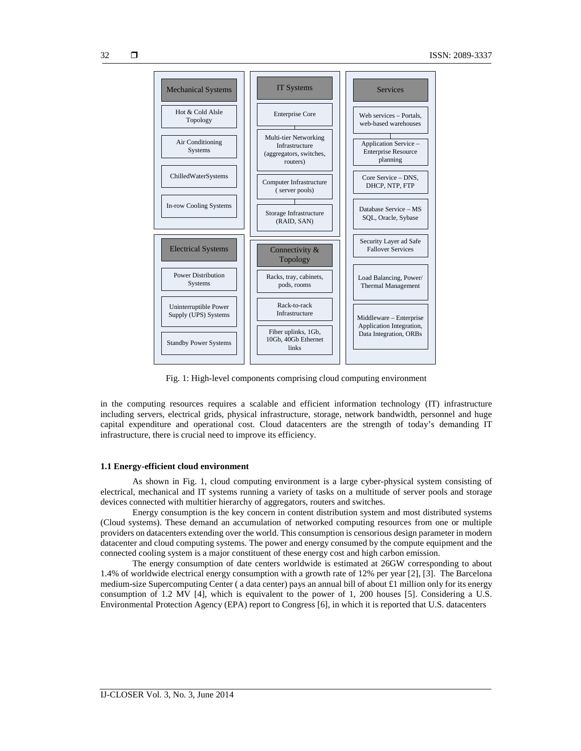

Fig. 1: High-level components comprising cloud computing environment

in the computing resources requires a scalable and efficient information technology (IT) infrastructure including servers, electrical grids, physical infrastructure, storage, network bandwidth, personnel and huge capital expenditure and operational cost. Cloud datacenters are the strength of today's demanding IT infrastructure, there is crucial need to improve its efficiency.

## **1.1 Energy-efficient cloud environment**

As shown in Fig. 1, cloud computing environment is a large cyber-physical system consisting of electrical, mechanical and IT systems running a variety of tasks on a multitude of server pools and storage devices connected with multitier hierarchy of aggregators, routers and switches.

Energy consumption is the key concern in content distribution system and most distributed systems (Cloud systems). These demand an accumulation of networked computing resources from one or multiple providers on datacenters extending over the world. This consumption is censorious design parameter in modern datacenter and cloud computing systems. The power and energy consumed by the compute equipment and the connected cooling system is a major constituent of these energy cost and high carbon emission.

The energy consumption of date centers worldwide is estimated at 26GW corresponding to about 1.4% of worldwide electrical energy consumption with a growth rate of 12% per year [2], [3]. The Barcelona medium-size Supercomputing Center ( a data center) pays an annual bill of about £1 million only for its energy consumption of 1.2 MV [4], which is equivalent to the power of 1, 200 houses [5]. Considering a U.S. Environmental Protection Agency (EPA) report to Congress [6], in which it is reported that U.S. datacenters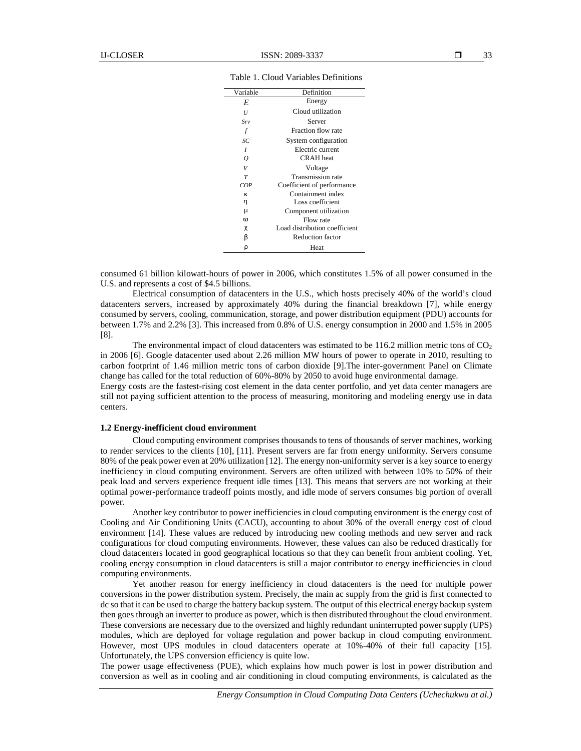| Variable          | Definition                    |  |
|-------------------|-------------------------------|--|
| E                 | Energy                        |  |
| U                 | Cloud utilization             |  |
| $S_{\mathcal{V}}$ | Server                        |  |
| f                 | Fraction flow rate            |  |
| SC                | System configuration          |  |
|                   | Electric current              |  |
| Q                 | <b>CRAH</b> heat              |  |
| V                 | Voltage                       |  |
| $\tau$            | Transmission rate             |  |
| COP               | Coefficient of performance    |  |
|                   | Containment index             |  |
| У                 | Loss coefficient              |  |
|                   | Component utilization         |  |
| $\%$              | Flow rate                     |  |
| t                 | Load distribution coefficient |  |
| S                 | <b>Reduction factor</b>       |  |
|                   | Heat                          |  |

Table 1. Cloud Variables Definitions

consumed 61 billion kilowatt-hours of power in 2006, which constitutes 1.5% of all power consumed in the U.S. and represents a cost of \$4.5 billions.

Electrical consumption of datacenters in the U.S., which hosts precisely 40% of the world's cloud datacenters servers, increased by approximately 40% during the financial breakdown [7], while energy consumed by servers, cooling, communication, storage, and power distribution equipment (PDU) accounts for between 1.7% and 2.2% [3]. This increased from 0.8% of U.S. energy consumption in 2000 and 1.5% in 2005 [8].

The environmental impact of cloud datacenters was estimated to be 116.2 million metric tons of  $CO<sub>2</sub>$ in 2006 [6]. Google datacenter used about 2.26 million MW hours of power to operate in 2010, resulting to carbon footprint of 1.46 million metric tons of carbon dioxide [9].The inter-government Panel on Climate change has called for the total reduction of 60%-80% by 2050 to avoid huge environmental damage.

Energy costs are the fastest-rising cost element in the data center portfolio, and yet data center managers are still not paying sufficient attention to the process of measuring, monitoring and modeling energy use in data centers.

## **1.2 Energy-inefficient cloud environment**

Cloud computing environment comprises thousands to tens of thousands of server machines, working to render services to the clients [10], [11]. Present servers are far from energy uniformity. Servers consume 80% of the peak power even at 20% utilization [12]. The energy non-uniformity server is a key source to energy inefficiency in cloud computing environment. Servers are often utilized with between 10% to 50% of their peak load and servers experience frequent idle times [13]. This means that servers are not working at their optimal power-performance tradeoff points mostly, and idle mode of servers consumes big portion of overall power.

Another key contributor to power inefficiencies in cloud computing environment is the energy cost of Cooling and Air Conditioning Units (CACU), accounting to about 30% of the overall energy cost of cloud environment [14]. These values are reduced by introducing new cooling methods and new server and rack configurations for cloud computing environments. However, these values can also be reduced drastically for cloud datacenters located in good geographical locations so that they can benefit from ambient cooling. Yet, cooling energy consumption in cloud datacenters is still a major contributor to energy inefficiencies in cloud computing environments.

Yet another reason for energy inefficiency in cloud datacenters is the need for multiple power conversions in the power distribution system. Precisely, the main ac supply from the grid is first connected to dc so that it can be used to charge the battery backup system. The output of this electrical energy backup system then goes through an inverter to produce as power, which is then distributed throughout the cloud environment. These conversions are necessary due to the oversized and highly redundant uninterrupted power supply (UPS) modules, which are deployed for voltage regulation and power backup in cloud computing environment. However, most UPS modules in cloud datacenters operate at 10%-40% of their full capacity [15]. Unfortunately, the UPS conversion efficiency is quite low.

The power usage effectiveness (PUE), which explains how much power is lost in power distribution and conversion as well as in cooling and air conditioning in cloud computing environments, is calculated as the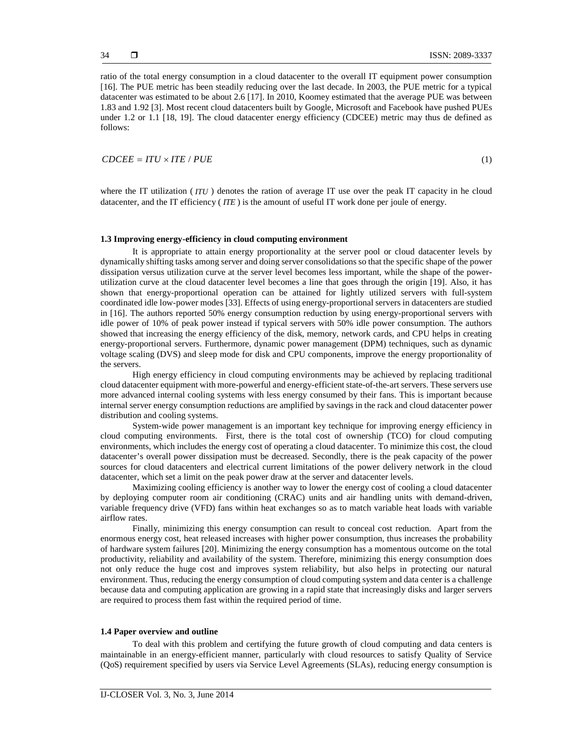ratio of the total energy consumption in a cloud datacenter to the overall IT equipment power consumption [16]. The PUE metric has been steadily reducing over the last decade. In 2003, the PUE metric for a typical datacenter was estimated to be about 2.6 [17]. In 2010, Koomey estimated that the average PUE was between 1.83 and 1.92 [3]. Most recent cloud datacenters built by Google, Microsoft and Facebook have pushed PUEs under 1.2 or 1.1 [18, 19]. The cloud datacenter energy efficiency (CDCEE) metric may thus de defined as follows: **CONTERT IS THE UP IN THE CONDUCT CONDUCT**<br> **CONTEX CONSUMPLE IT CONSUMPLE IT CONSUMPLE TO A CONSUMPLE IT CONSUMPLE TO A SERVICE THE PUES metric has been stealing reducity reducid that energy extine last decade. In 2003, t** 

where the IT utilization (*ITU*) denotes the ration of average IT use over the peak IT capacity in he cloud datacenter, and the IT efficiency ( *ITE* ) is the amount of useful IT work done per joule of energy.

### **1.3 Improving energy-efficiency in cloud computing environment**

It is appropriate to attain energy proportionality at the server pool or cloud datacenter levels by dynamically shifting tasks among server and doing server consolidations so that the specific shape of the power dissipation versus utilization curve at the server level becomes less important, while the shape of the power utilization curve at the cloud datacenter level becomes a line that goes through the origin [19]. Also, it has shown that energy-proportional operation can be attained for lightly utilized servers with full-system coordinated idle low-power modes [33]. Effects of using energy-proportional servers in datacenters are studied in [16]. The authors reported 50% energy consumption reduction by using energy-proportional servers with idle power of 10% of peak power instead if typical servers with 50% idle power consumption. The authors showed that increasing the energy efficiency of the disk, memory, network cards, and CPU helps in creating energy-proportional servers. Furthermore, dynamic power management (DPM) techniques, such as dynamic voltage scaling (DVS) and sleep mode for disk and CPU components, improve the energy proportionality of the servers.

High energy efficiency in cloud computing environments may be achieved by replacing traditional cloud datacenter equipment with more-powerful and energy-efficient state-of-the-art servers. These servers use more advanced internal cooling systems with less energy consumed by their fans. This is important because internal server energy consumption reductions are amplified by savings in the rack and cloud datacenter power distribution and cooling systems.

System-wide power management is an important key technique for improving energy efficiency in cloud computing environments. First, there is the total cost of ownership (TCO) for cloud computing environments, which includes the energy cost of operating a cloud datacenter. To minimize this cost, the cloud datacenter's overall power dissipation must be decreased. Secondly, there is the peak capacity of the power sources for cloud datacenters and electrical current limitations of the power delivery network in the cloud datacenter, which set a limit on the peak power draw at the server and datacenter levels.

Maximizing cooling efficiency is another way to lower the energy cost of cooling a cloud datacenter by deploying computer room air conditioning (CRAC) units and air handling units with demand-driven, variable frequency drive (VFD) fans within heat exchanges so as to match variable heat loads with variable airflow rates.

Finally, minimizing this energy consumption can result to conceal cost reduction. Apart from the enormous energy cost, heat released increases with higher power consumption, thus increases the probability of hardware system failures [20]. Minimizing the energy consumption has a momentous outcome on the total productivity, reliability and availability of the system. Therefore, minimizing this energy consumption does not only reduce the huge cost and improves system reliability, but also helps in protecting our natural environment. Thus, reducing the energy consumption of cloud computing system and data center is a challenge because data and computing application are growing in a rapid state that increasingly disks and larger servers are required to process them fast within the required period of time.

## **1.4 Paper overview and outline**

To deal with this problem and certifying the future growth of cloud computing and data centers is maintainable in an energy-efficient manner, particularly with cloud resources to satisfy Quality of Service (QoS) requirement specified by users via Service Level Agreements (SLAs), reducing energy consumption is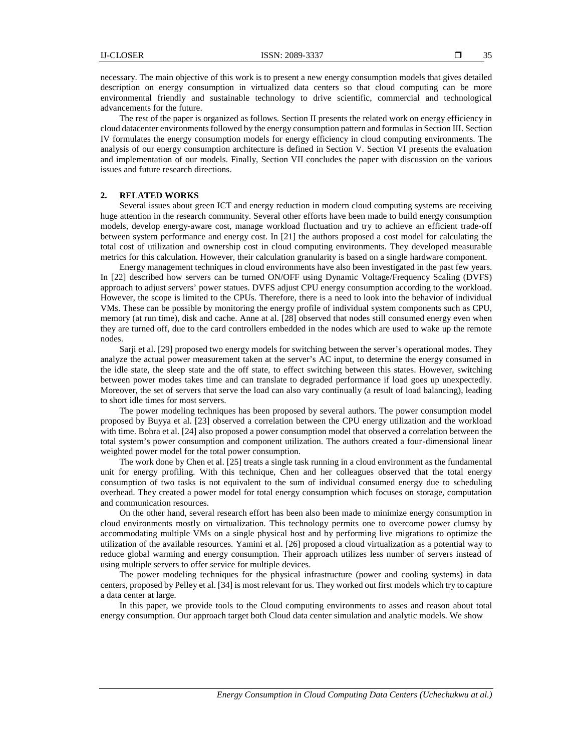The rest of the paper is organized as follows. Section II presents the related work on energy efficiency in cloud datacenter environments followed by the energy consumption pattern and formulas in Section III. Section IV formulates the energy consumption models for energy efficiency in cloud computing environments. The analysis of our energy consumption architecture is defined in Section V. Section VI presents the evaluation and implementation of our models. Finally, Section VII concludes the paper with discussion on the various issues and future research directions.

#### **2. RELATED WORKS**

Several issues about green ICT and energy reduction in modern cloud computing systems are receiving huge attention in the research community. Several other efforts have been made to build energy consumption models, develop energy-aware cost, manage workload fluctuation and try to achieve an efficient trade-off between system performance and energy cost. In [21] the authors proposed a cost model for calculating the total cost of utilization and ownership cost in cloud computing environments. They developed measurable metrics for this calculation. However, their calculation granularity is based on a single hardware component.

Energy management techniques in cloud environments have also been investigated in the past few years. In [22] described how servers can be turned ON/OFF using Dynamic Voltage/Frequency Scaling (DVFS) approach to adjust servers' power statues. DVFS adjust CPU energy consumption according to the workload. However, the scope is limited to the CPUs. Therefore, there is a need to look into the behavior of individual VMs. These can be possible by monitoring the energy profile of individual system components such as CPU, memory (at run time), disk and cache. Anne at al. [28] observed that nodes still consumed energy even when they are turned off, due to the card controllers embedded in the nodes which are used to wake up the remote nodes.

Sarji et al. [29] proposed two energy models for switching between the server's operational modes. They analyze the actual power measurement taken at the server's AC input, to determine the energy consumed in the idle state, the sleep state and the off state, to effect switching between this states. However, switching between power modes takes time and can translate to degraded performance if load goes up unexpectedly. Moreover, the set of servers that serve the load can also vary continually (a result of load balancing), leading to short idle times for most servers.

The power modeling techniques has been proposed by several authors. The power consumption model proposed by Buyya et al. [23] observed a correlation between the CPU energy utilization and the workload with time. Bohra et al. [24] also proposed a power consumption model that observed a correlation between the total system's power consumption and component utilization. The authors created a four-dimensional linear weighted power model for the total power consumption.

The work done by Chen et al. [25] treats a single task running in a cloud environment as the fundamental unit for energy profiling. With this technique, Chen and her colleagues observed that the total energy consumption of two tasks is not equivalent to the sum of individual consumed energy due to scheduling overhead. They created a power model for total energy consumption which focuses on storage, computation and communication resources.

On the other hand, several research effort has been also been made to minimize energy consumption in cloud environments mostly on virtualization. This technology permits one to overcome power clumsy by accommodating multiple VMs on a single physical host and by performing live migrations to optimize the utilization of the available resources. Yamini et al. [26] proposed a cloud virtualization as a potential way to reduce global warming and energy consumption. Their approach utilizes less number of servers instead of using multiple servers to offer service for multiple devices.

The power modeling techniques for the physical infrastructure (power and cooling systems) in data centers, proposed by Pelley et al. [34] is most relevant for us. They worked out first models which try to capture a data center at large.

In this paper, we provide tools to the Cloud computing environments to asses and reason about total energy consumption. Our approach target both Cloud data center simulation and analytic models. We show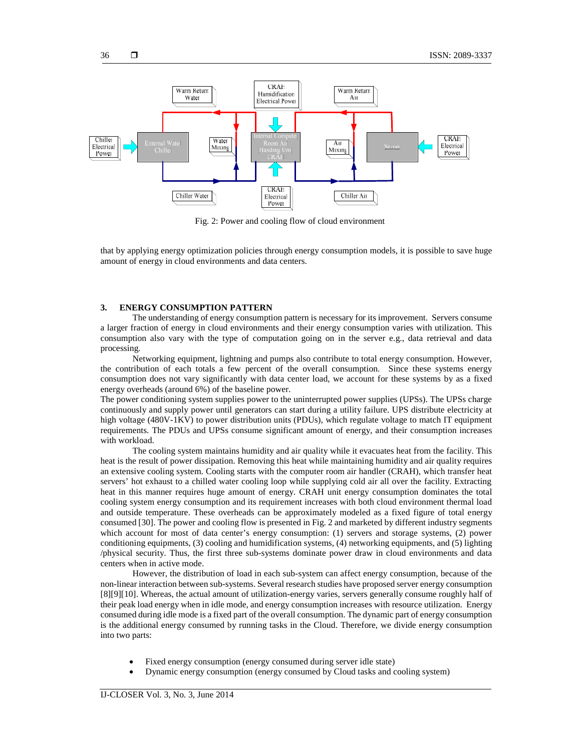

Fig. 2: Power and cooling flow of cloud environment

that by applying energy optimization policies through energy consumption models, it is possible to save huge amount of energy in cloud environments and data centers.

## **3. ENERGY CONSUMPTION PATTERN**

The understanding of energy consumption pattern is necessary for its improvement. Servers consume a larger fraction of energy in cloud environments and their energy consumption varies with utilization. This consumption also vary with the type of computation going on in the server e.g., data retrieval and data processing.

Networking equipment, lightning and pumps also contribute to total energy consumption. However, the contribution of each totals a few percent of the overall consumption. Since these systems energy consumption does not vary significantly with data center load, we account for these systems by as a fixed energy overheads (around 6%) of the baseline power.

The power conditioning system supplies power to the uninterrupted power supplies (UPSs). The UPSs charge continuously and supply power until generators can start during a utility failure. UPS distribute electricity at high voltage (480V-1KV) to power distribution units (PDUs), which regulate voltage to match IT equipment requirements. The PDUs and UPSs consume significant amount of energy, and their consumption increases with workload.

The cooling system maintains humidity and air quality while it evacuates heat from the facility. This heat is the result of power dissipation. Removing this heat while maintaining humidity and air quality requires an extensive cooling system. Cooling starts with the computer room air handler (CRAH), which transfer heat servers' hot exhaust to a chilled water cooling loop while supplying cold air all over the facility. Extracting heat in this manner requires huge amount of energy. CRAH unit energy consumption dominates the total cooling system energy consumption and its requirement increases with both cloud environment thermal load and outside temperature. These overheads can be approximately modeled as a fixed figure of total energy consumed [30]. The power and cooling flow is presented in Fig. 2 and marketed by different industry segments which account for most of data center's energy consumption: (1) servers and storage systems, (2) power conditioning equipments, (3) cooling and humidification systems, (4) networking equipments, and (5) lighting /physical security. Thus, the first three sub-systems dominate power draw in cloud environments and data centers when in active mode.

However, the distribution of load in each sub-system can affect energy consumption, because of the non-linear interaction between sub-systems. Several research studies have proposed server energy consumption [8][9][10]. Whereas, the actual amount of utilization-energy varies, servers generally consume roughly half of their peak load energy when in idle mode, and energy consumption increases with resource utilization. Energy consumed during idle mode is a fixed part of the overall consumption. The dynamic part of energy consumption is the additional energy consumed by running tasks in the Cloud. Therefore, we divide energy consumption into two parts:

- Fixed energy consumption (energy consumed during server idle state)
- Dynamic energy consumption (energy consumed by Cloud tasks and cooling system)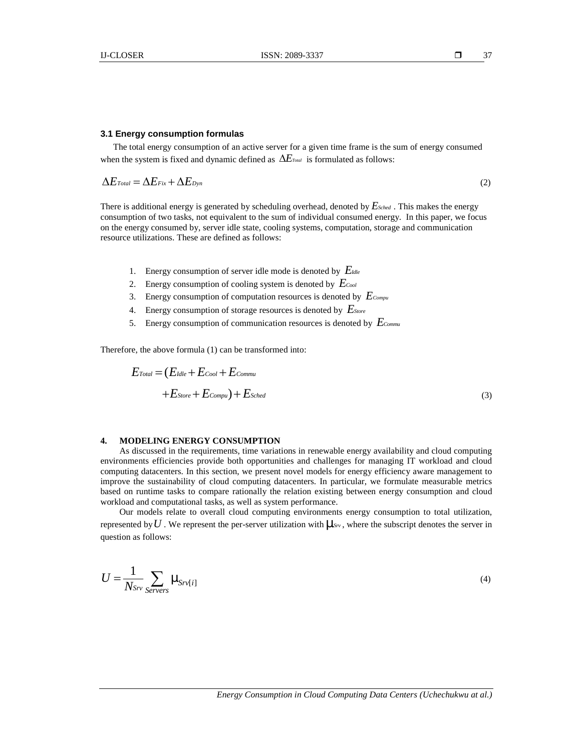#### **3.1 Energy consumption formulas**

The total energy consumption of an active server for a given time frame is the sum of energy consumed

**EXECUTE:** ISSN: 2089-3337 **13.1**<br> **EDECUTE:** CONDENSIBN: 2089-3337 **14.2**<br> **EDECUTE:** THE CORE energy consumption of on active server for a given time frame is the sum of energy consumed<br>
When the system is fixed and dyn There is additional energy is generated by scheduling overhead, denoted by *ESched* . This makes the energy consumption of two tasks, not equivalent to the sum of individual consumed energy. In this paper, we focus on the energy consumed by, server idle state, cooling systems, computation, storage and communication resource utilizations. These are defined as follows: **Therefore, the above formula (1) can be transformed into the above formula (1) can be transformed in the above formula (1) can be transformed in the above formula (1) can be transformed in the above formula (2) can be tr** 

- 1. Energy consumption of server idle mode is denoted by *EIdle*
- 2. Energy consumption of cooling system is denoted by *ECool*
- 3. Energy consumption of computation resources is denoted by *ECompu*
- 4. Energy consumption of storage resources is denoted by *EStore*
- 5. Energy consumption of communication resources is denoted by *ECommu*

$$
Total = (E_{idle} + E_{cool} + E_{commu}
$$
  
+
$$
E_{Store} + E_{Compu}) + E_{Sched}
$$
 (3)

#### **4. MODELING ENERGY CONSUMPTION**

**ESNY:** 2089-3337<br> **E EXERCT** 37<br> **E EXERCT** and the matrix server for a given time frame is the sum of energy consumed<br>
is fixed and dynamic defined as  $\Delta E_{\text{av}}$  is formulated as follows:<br>  $+ \Delta E_{\text{cyc}}$  (2)<br>
at energy As discussed in the requirements, time variations in renewable energy availability and cloud computing environments efficiencies provide both opportunities and challenges for managing IT workload and cloud computing datacenters. In this section, we present novel models for energy efficiency aware management to improve the sustainability of cloud computing datacenters. In particular, we formulate measurable metrics based on runtime tasks to compare rationally the relation existing between energy consumption and cloud workload and computational tasks, as well as system performance.  $\epsilon + E_{Compu}) + E_{Sched}$ <br>  $\epsilon + E_{Compu}) + E_{Sched}$ <br>
requirements, time variations provide both opportunition this section, we present ty of cloud computing data to compare rationally the sonal tasks, as well as syster to overall cloud co *Srv Srv i*

Our models relate to overall cloud computing environments energy consumption to total utilization, represented by  $U$ . We represent the per-server utilization with  $\sim s_v$ , where the subscript denotes the server in question as follows:

$$
U = \frac{1}{N_{SrV}} \sum_{Servers} \sim_{Srv[i]} (4)
$$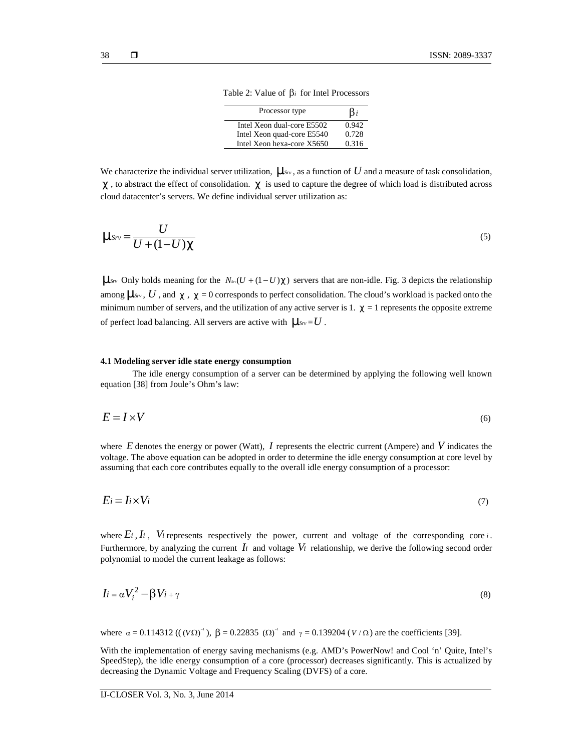| Processor type             | $\beta_i$ |
|----------------------------|-----------|
| Intel Xeon dual-core E5502 | 0.942     |
| Intel Xeon quad-core E5540 | 0.728     |
| Intel Xeon hexa-core X5650 | 0.316     |

Table 2: Value of  $\beta_i$  for Intel Processors

We characterize the individual server utilization,  $\sim s_v$ , as a function of U and a measure of task consolidation,  $t$ , to abstract the effect of consolidation.  $t$  is used to capture the degree of which load is distributed across cloud datacenter's servers. We define individual server utilization as:

$$
\sim_{Srv} = \frac{U}{U + (1 - U)t} \tag{5}
$$

Table 2: Value of  $\beta_i$  for Int<br>
Processor type<br>
The 2: Value of  $\beta_i$  for Int<br>
Processor type<br>
Intel Xeon dual-core E550<br>
Intel Xeon dual-core E550<br>
Intel Xeon dual-core E550<br>
Intel Xeon dual-core E554<br>
characterize the 1SSN: 2089-3<br> **ISSN: 2089-3**<br> **ISSN: 2089-3**<br> **ISSN: 2089-3**<br> **IDENTE Accord (B)** for Intel Processors<br> **Processor type**<br> **IDENTE Accord dual-core E5502**<br> **IDENTE Accord (DETA:** 10.728<br> **IDENTE Accord dual-core E5502**<br> **ISSN:** 2089-3337<br>
Table 2: Value of  $\beta_i$  for Intel Processors<br>
Processor type<br>  $\beta_i$ <br>
Intel Xcon dual-core ESS02 0942<br>
Intel Xcon dual-core ESS10 09728<br>
Intel Xcon lexa-core X5650 09728<br>
Intel Xcon lexa-core X5650 09728 **ISSN: 2089-3337**<br> **Srv** Table 2; Value of  $\beta$ *i* for Intel Processors<br> **FRUCES MEAN TANCHAL TEX**<br> **INTELEV CONCUTES TO 22**<br> **INTELEV (CONCUTES TO 22)**<br> **INTELEV AND TEXA TEXAL TEXAL TEXAL TEXAL TEXAL TEXAL TEXAL TEXAL T** among  $\sim s_{\nu}$ , *U*, and t, t = 0 corresponds to perfect consolidation. The cloud's workload is packed onto the minimum number of servers, and the utilization of any active server is  $1. \, t = 1$  represents the opposite extreme of perfect load balancing. All servers are active with  $\sim_{S_{V}}=U$ . Table 2: Value of [5 for Ital<sup>2</sup> None of [5 for Ital<sup>2</sup> Processors<br> **EVENENT OF TAXE INTERENT SYSTEM**<br> **EXECUTE:** The None house can be a first of  $0.248$ <br> **EXECUTE:** The None house can be a first of  $0.218$ <br> **EVENENT OF** *K* is characterize the individual server utilization.  $-\varepsilon$ , as a function of *U* and a measure of task consolidation,<br>  $t$ , to absuract the effect of consolidation.  $\dot{t}$  is used to capture the degree of which load i *i* so Only holds meaning for the *N<sub>\*</sub>*(*U* + (1 - *U*) t) servers that are non-idle. Fig. 3 depicts the relationship<br>noney  $\sim \sim N$ . *U*, and  $\tau$ ,  $\tau$  = 0 corresponds to perfect consolidation. The cloud's workload is p

## **4.1 Modeling server idle state energy consumption**

The idle energy consumption of a server can be determined by applying the following well known equation [38] from Joule's Ohm's law:

$$
E = I \times V \tag{6}
$$

where *E* denotes the energy or power (Watt), *I* represents the electric current (Ampere) and *V* indicates the voltage. The above equation can be adopted in order to determine the idle energy consumption at core level by assuming that each core contributes equally to the overall idle energy consumption of a processor:

$$
E_i = I_i \times V_i \tag{7}
$$

where  $E_i$ ,  $I_i$ ,  $V_i$  represents respectively the power, current and voltage of the corresponding core  $i$ . Furthermore, by analyzing the current  $I_i$  and voltage  $V_i$  relationship, we derive the following second order polynomial to model the current leakage as follows: where *E* denotes the energy or power (Watt), *I* represents the electrivaluage. The above equation can be adopted in order to determine the in<br>assuming that each core contributes equally to the overall idle energy of<br>*Ei* gy or power (Watt), *I* represents the electric current (Ampere) and *V* indicates the<br>on can be adopted in order to determine the idle energy consumption at core level by<br>ontributes equally to the overall idle energy co

$$
I_i = \alpha V_i^2 - \beta V_i + \gamma \tag{8}
$$

With the implementation of energy saving mechanisms (e.g. AMD's PowerNow! and Cool 'n' Quite, Intel's SpeedStep), the idle energy consumption of a core (processor) decreases significantly. This is actualized by decreasing the Dynamic Voltage and Frequency Scaling (DVFS) of a core.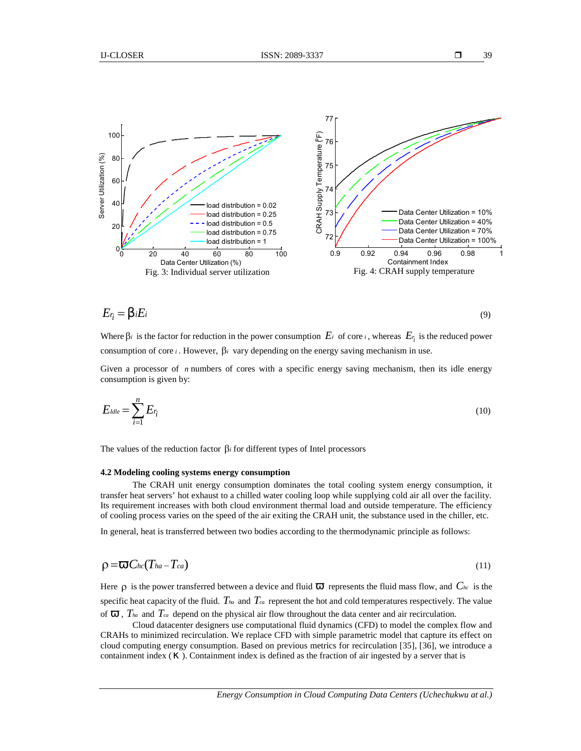39



$$
E_{\dot{t}} = S_i E_i \tag{9}
$$

Where  $\beta_i$  is the factor for reduction in the power consumption  $E_i$  of core *i*, whereas  $E_i$  is the reduced power consumption of core *i*. However,  $\beta$ *i* vary depending on the energy saving mechanism in use.

Given a processor of *n* numbers of cores with a specific energy saving mechanism, then its idle energy consumption is given by:

$$
E_{\text{I}d\text{I}e} = \sum_{i=1}^{n} E_{r_i} \tag{10}
$$

The values of the reduction factor  $\beta_i$  for different types of Intel processors

#### **4.2 Modeling cooling systems energy consumption**

The CRAH unit energy consumption dominates the total cooling system energy consumption, it transfer heat servers' hot exhaust to a chilled water cooling loop while supplying cold air all over the facility. Its requirement increases with both cloud environment thermal load and outside temperature. The efficiency of cooling process varies on the speed of the air exiting the CRAH unit, the substance used in the chiller, etc.

In general, heat is transferred between two bodies according to the thermodynamic principle as follows:

$$
\rho = \frac{q_0}{\rho} C_{hc}(T_{ha} - T_{ca}) \tag{11}
$$

Here  $\rho$  is the power transferred between a device and fluid  $\%$  represents the fluid mass flow, and  $C_{hc}$  is the specific heat capacity of the fluid.  $T_{ha}$  and  $T_{ca}$  represent the hot and cold temperatures respectively. The value of ‰,  $T_{ha}$  and  $T_{ca}$  depend on the physical air flow throughout the data center and air recirculation.

Cloud datacenter designers use computational fluid dynamics (CFD) to model the complex flow and CRAHs to minimized recirculation. We replace CFD with simple parametric model that capture its effect on cloud computing energy consumption. Based on previous metrics for recirculation [35], [36], we introduce a containment index  $( )$ . Containment index is defined as the fraction of air ingested by a server that is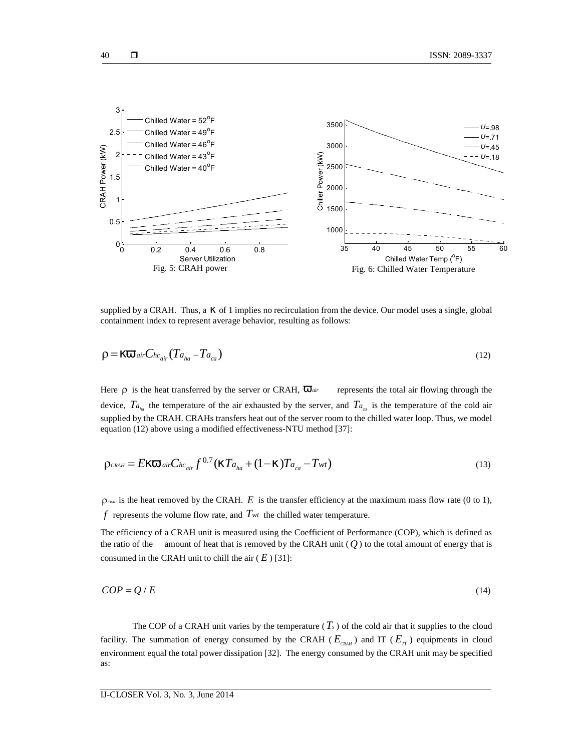

supplied by a CRAH. Thus, a  $\vert$  of 1 implies no recirculation from the device. Our model uses a single, global containment index to represent average behavior, resulting as follows:

$$
\rho = |\%_{0\ air} C_{hc_{air}} (T_{a_{ha}} - T_{a_{ca}})
$$
\n(12)

Here  $\rho$  is the heat transferred by the server or CRAH,  $\%$ <sub>*air*</sub> represents the total air flowing through the device,  $Ta_{i}$  the temperature of the air exhausted by the server, and  $Ta_{i}$  is the temperature of the cold air supplied by the CRAH. CRAHs transfers heat out of the server room to the chilled water loop. Thus, we model equation (12) above using a modified effectiveness-NTU method [37]: hephave of e. CKAT: into, a | of *x* ring, are interesting that the the containment index to represent average behavior, resulting as follows:<br>  $D = |\%$  of  $C_{0C_{00}}(Ta_{00} - Ta_{ca})$  (12)<br>
Here  $\rho$  is the beat transferred by

$$
\rho_{CRAH} = E \left[ \, \mathcal{H}_{0a}^{C} \right]_{air}^{C} C_{hc_{air}} f^{0.7} \left( \left[ T_{a_{ha}} + (1 - \left[ \right] ) T_{a_{ca}} - T_{wt} \right) \right] \tag{13}
$$

 $\rho_{\text{can}}$  is the heat removed by the CRAH. *E* is the transfer efficiency at the maximum mass flow rate (0 to 1), *f* represents the volume flow rate, and *Twt* the chilled water temperature.

The efficiency of a CRAH unit is measured using the Coefficient of Performance (COP), which is defined as the ratio of the amount of heat that is removed by the CRAH unit  $(Q)$  to the total amount of energy that is consumed in the CRAH unit to chill the air  $(E)$  [31]:

$$
COP = Q/E \tag{14}
$$

The COP of a CRAH unit varies by the temperature  $(T_s)$  of the cold air that it supplies to the cloud facility. The summation of energy consumed by the CRAH ( $E_{CRAH}$ ) and IT ( $E_{IT}$ ) equipments in cloud environment equal the total power dissipation [32]. The energy consumed by the CRAH unit may be specified as: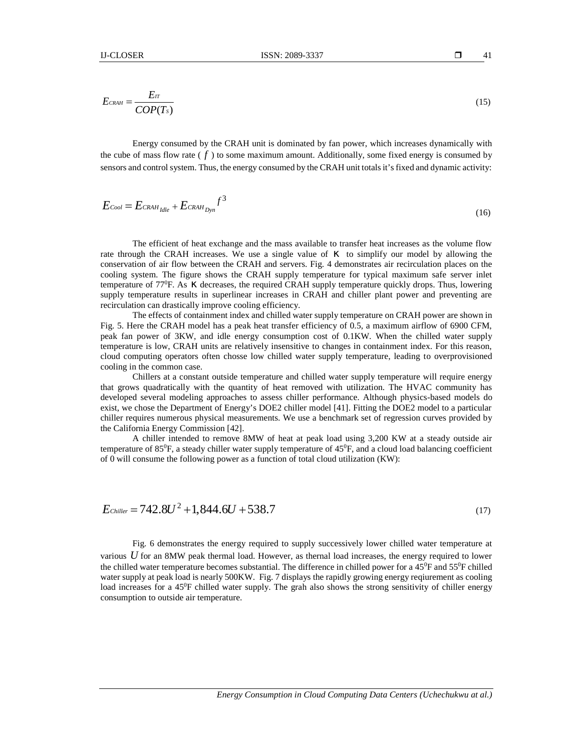$$
E_{CRAH} = \frac{E_T}{COP(T_S)}
$$
(15)

ISSN: 20<br>  $\frac{r}{(Ts)}$ <br>
v consumed by the CRAH unit is don<br>
s flow rate (f) to some maximum a<br>
trol system. Thus, the energy consume ER<br> **EXECUTE:**<br> **COP(Ts)**<br>
Energy consumed by the CRAH unit is dominated by fan power of mass flow rate ( $f$ ) to some maximum amount. Additionally indication of control system. Thus, the energy consumed by the CRAH unit Energy consumed by the CRAH unit is dominated by fan power, which increases dynamically with the cube of mass flow rate  $(f)$  to some maximum amount. Additionally, some fixed energy is consumed by sensors and control system. Thus, the energy consumed by the CRAH unit totals it's fixed and dynamic activity: *ISSN: 2089-3337*<br> *CRAH*  $=$   $\frac{E_T}{COP(T_s)}$ <br> *COP(Ts)*<br> *COP(Ts)*<br> *COP(Ts)*<br> *Cool*  $=$  *Cool E CRAH CRAH cDF is some maximum amount. Additionalsors and control system. Thus, the energy consumed by the CRAH un<br>
<i>Co* 

$$
E_{\text{cool}} = E_{\text{CRAH}}_{\text{Idl}e} + E_{\text{CRAH}}_{\text{Dyn}} f^3 \tag{16}
$$

*f FCRM FCRM FCRM* **EXECUTE:** *FCRM* **EXECUTE: EXECUTE: EXECUTE: EXECUTE: EXECUTE: EXECUTE: EXECUTE: FCRM EXECUTE: FCRM EXECUTE: FCRM EXECUTE: FCRM EXECUTE: FCCUTE: FCCUTE:** The efficient of heat exchange and the mass available to transfer heat increases as the volume flow rate through the CRAH increases. We use a single value of  $\vert$  to simplify our model by allowing the conservation of air flow between the CRAH and servers. Fig. 4 demonstrates air recirculation places on the cooling system. The figure shows the CRAH supply temperature for typical maximum safe server inlet temperature of  $77^{\circ}$ F. As  $\parallel$  decreases, the required CRAH supply temperature quickly drops. Thus, lowering supply temperature results in superlinear increases in CRAH and chiller plant power and preventing are recirculation can drastically improve cooling efficiency. Example and control system. Thus, the energy consumed by the CRAH unit totals it is fixed and dynamic excivity.<br>  $E_{C\sim d} = E_{C\sim M_{LIR}} + E_{C\sim M_{LIR}}t^3$  (16)<br>
The efficient of host exchange and the mass available to transfer h

The effects of containment index and chilled water supply temperature on CRAH power are shown in Fig. 5. Here the CRAH model has a peak heat transfer efficiency of 0.5, a maximum airflow of 6900 CFM, peak fan power of 3KW, and idle energy consumption cost of 0.1KW. When the chilled water supply temperature is low, CRAH units are relatively insensitive to changes in containment index. For this reason, cloud computing operators often chosse low chilled water supply temperature, leading to overprovisioned cooling in the common case.

Chillers at a constant outside temperature and chilled water supply temperature will require energy that grows quadratically with the quantity of heat removed with utilization. The HVAC community has developed several modeling approaches to assess chiller performance. Although physics-based models do exist, we chose the Department of Energy's DOE2 chiller model [41]. Fitting the DOE2 model to a particular chiller requires numerous physical measurements. We use a benchmark set of regression curves provided by the California Energy Commission [42].

A chiller intended to remove 8MW of heat at peak load using 3,200 KW at a steady outside air temperature of  $85\text{°F}$ , a steady chiller water supply temperature of  $45\text{°F}$ , and a cloud load balancing coefficient of 0 will consume the following power as a function of total cloud utilization (KW):

$$
E_{\text{Chiller}} = 742.8U^2 + 1,844.6U + 538.7
$$

Fig. 6 demonstrates the energy required to supply successively lower chilled water temperature at various *U* for an 8MW peak thermal load. However, as thernal load increases, the energy required to lower the chilled water temperature becomes substantial. The difference in chilled power for a 45<sup>0</sup>F and 55<sup>0</sup>F chilled water supply at peak load is nearly 500KW. Fig. 7 displays the rapidly growing energy reqiurement as cooling load increases for a 45<sup>0</sup>F chilled water supply. The grah also shows the strong sensitivity of chiller energy consumption to outside air temperature.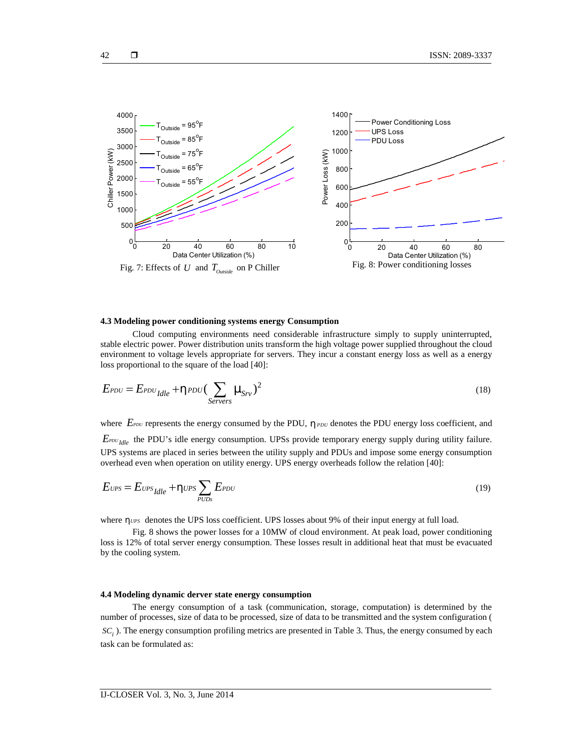

## **4.3 Modeling power conditioning systems energy Consumption**

Cloud computing environments need considerable infrastructure simply to supply uninterrupted, stable electric power. Power distribution units transform the high voltage power supplied throughout the cloud environment to voltage levels appropriate for servers. They incur a constant energy loss as well as a energy loss proportional to the square of the load [40]:

$$
E_{PDU} = E_{PDU} + y_{PDU} \left(\sum_{Servers} \sim_{Srv}\right)^2
$$
 (18)

where  $E_{PDU}$  represents the energy consumed by the PDU,  $\gamma_{PDU}$  denotes the PDU energy loss coefficient, and *E*<sup>*PDU*</sup> *E Idle* the PDU's idle energy consumption. UPSs provide temporary energy supply during utility failure. UPS systems are placed in series between the utility supply and PDUs and impose some energy consumption overhead even when operation on utility energy. UPS energy overheads follow the relation [40]:

$$
E_{UPS} = E_{UPS} + \gamma_{UPS} \sum_{PUDS} E_{PDU} \tag{19}
$$

where  $y_{UPS}$  denotes the UPS loss coefficient. UPS losses about 9% of their input energy at full load.

Fig. 8 shows the power losses for a 10MW of cloud environment. At peak load, power conditioning loss is 12% of total server energy consumption. These losses result in additional heat that must be evacuated by the cooling system.

## **4.4 Modeling dynamic derver state energy consumption**

The energy consumption of a task (communication, storage, computation) is determined by the number of processes, size of data to be processed, size of data to be transmitted and the system configuration ( *<sup>i</sup> SC* ). The energy consumption profiling metrics are presented in Table 3. Thus, the energy consumed by each task can be formulated as: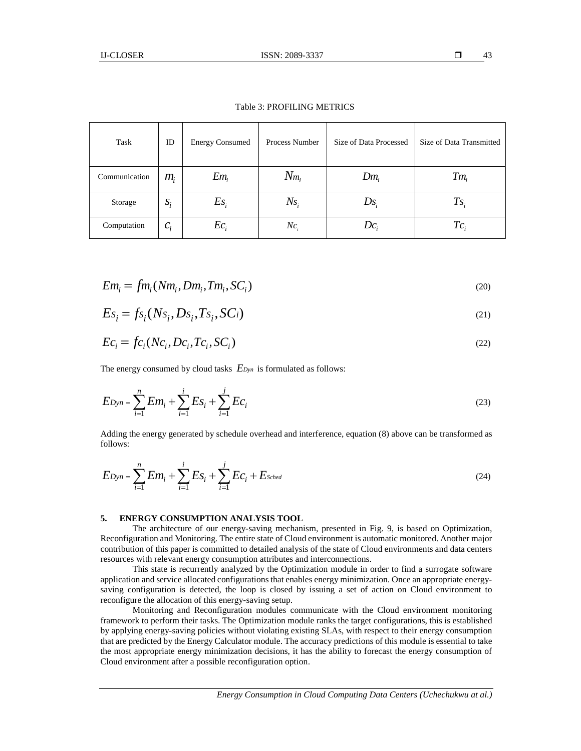| <b>IJ-CLOSER</b>                      |          |                                                                                                                        | ISSN: 2089-3337            |                                                                                                                                                                                                                                                                                                                                                                                                                                                                                                                                                                                                                                                                       | $\Box$<br>43             |
|---------------------------------------|----------|------------------------------------------------------------------------------------------------------------------------|----------------------------|-----------------------------------------------------------------------------------------------------------------------------------------------------------------------------------------------------------------------------------------------------------------------------------------------------------------------------------------------------------------------------------------------------------------------------------------------------------------------------------------------------------------------------------------------------------------------------------------------------------------------------------------------------------------------|--------------------------|
|                                       |          |                                                                                                                        | Table 3: PROFILING METRICS |                                                                                                                                                                                                                                                                                                                                                                                                                                                                                                                                                                                                                                                                       |                          |
| Task                                  | $\rm ID$ | <b>Energy Consumed</b>                                                                                                 | Process Number             | Size of Data Processed                                                                                                                                                                                                                                                                                                                                                                                                                                                                                                                                                                                                                                                | Size of Data Transmitted |
| Communication                         | $m_i$    | $Em_i$                                                                                                                 | $N_{m_i}$                  | $Dm_i$                                                                                                                                                                                                                                                                                                                                                                                                                                                                                                                                                                                                                                                                | $Tm_i$                   |
| Storage                               | $S_i$    | $Es_i$                                                                                                                 | $Ns_i$                     | $Ds_i$                                                                                                                                                                                                                                                                                                                                                                                                                                                                                                                                                                                                                                                                | $T_{s_i}$                |
| Computation                           | $c_i$    | $Ec_i$                                                                                                                 | $Nc_i$                     | $Dc_i$                                                                                                                                                                                                                                                                                                                                                                                                                                                                                                                                                                                                                                                                | $Tc_i$                   |
|                                       |          |                                                                                                                        |                            |                                                                                                                                                                                                                                                                                                                                                                                                                                                                                                                                                                                                                                                                       |                          |
|                                       |          |                                                                                                                        |                            |                                                                                                                                                                                                                                                                                                                                                                                                                                                                                                                                                                                                                                                                       | (20)                     |
|                                       |          | $Em_i = fm_i(Nm_i, Dm_i, Tm_i, SC_i)$<br>$Es_i = fs_i(Ns_i, Ds_i, Ts_i, SC_i)$                                         |                            |                                                                                                                                                                                                                                                                                                                                                                                                                                                                                                                                                                                                                                                                       |                          |
|                                       |          |                                                                                                                        |                            |                                                                                                                                                                                                                                                                                                                                                                                                                                                                                                                                                                                                                                                                       | (21)                     |
| $Ec_i = fc_i(Nc_i, Dc_i, Tc_i, SC_i)$ |          |                                                                                                                        |                            |                                                                                                                                                                                                                                                                                                                                                                                                                                                                                                                                                                                                                                                                       | (22)                     |
|                                       |          | The energy consumed by cloud tasks $E_{Dyn}$ is formulated as follows:                                                 |                            |                                                                                                                                                                                                                                                                                                                                                                                                                                                                                                                                                                                                                                                                       |                          |
|                                       |          | $ED_{\mathcal{Y}n} = \sum_{i=1}^n Em_i + \sum_{i=1}^i Es_i + \sum_{i=1}^j Ec_i$                                        |                            |                                                                                                                                                                                                                                                                                                                                                                                                                                                                                                                                                                                                                                                                       | (23)                     |
| follows:                              |          |                                                                                                                        |                            | Adding the energy generated by schedule overhead and interference, equation (8) above can be transformed as                                                                                                                                                                                                                                                                                                                                                                                                                                                                                                                                                           |                          |
|                                       |          | $ED_{yn} = \sum_{i=1}^{n} Em_i + \sum_{i=1}^{i} Es_i + \sum_{i=1}^{j} Ec_i + Es_{ched}$                                |                            |                                                                                                                                                                                                                                                                                                                                                                                                                                                                                                                                                                                                                                                                       | (24)                     |
| 5.                                    |          | <b>ENERGY CONSUMPTION ANALYSIS TOOL</b><br>resources with relevant energy consumption attributes and interconnections. |                            | The architecture of our energy-saving mechanism, presented in Fig. 9, is based on Optimization,<br>Reconfiguration and Monitoring. The entire state of Cloud environment is automatic monitored. Another major<br>contribution of this paper is committed to detailed analysis of the state of Cloud environments and data centers<br>This state is recurrently analyzed by the Optimization module in order to find a surrogate software<br>application and service allocated configurations that enables energy minimization. Once an appropriate energy-<br>equing configuration is detected the loop is closed by issuing a set of action on Cloud environment to |                          |

Table 3: PROFILING METRICS

$$
Em_i = fm_i(Nm_i, Dm_i, Tm_i, SC_i)
$$
\n<sup>(20)</sup>

$$
Es_i = f s_i(Ns_i, Ds_i, Ts_i, SCi)
$$
\n<sup>(21)</sup>

$$
Ec_i = fc_i(Nc_i, Dc_i, Tc_i, SC_i)
$$
\n
$$
(22)
$$

| Computation                                                                                                                                                                                                                                                                                                                                                                                                          | $C_i$ | $Ec_i$ | $NC_i$ | $DC_i$ | $TC_i$ |
|----------------------------------------------------------------------------------------------------------------------------------------------------------------------------------------------------------------------------------------------------------------------------------------------------------------------------------------------------------------------------------------------------------------------|-------|--------|--------|--------|--------|
| $Em_i = fm_i(Nm_i, Dm_i, Tm_i, SC_i)$                                                                                                                                                                                                                                                                                                                                                                                | (20)  |        |        |        |        |
| $ES_i = fs_i(Ns_i, Ds_i, Ts_i, SC_i)$                                                                                                                                                                                                                                                                                                                                                                                | (21)  |        |        |        |        |
| $Ec_i = fc_i(Nc_i, Dc_i, Tc_i, SC_i)$                                                                                                                                                                                                                                                                                                                                                                                | (22)  |        |        |        |        |
| $EDym = \sum_{i=1}^{n} Em_i + \sum_{i=1}^{i} Es_i + \sum_{i=1}^{j} Ec_i$                                                                                                                                                                                                                                                                                                                                             | (23)  |        |        |        |        |
| Adding the energy consumed by cloud tasks $EDym$ is formulated as follows:                                                                                                                                                                                                                                                                                                                                           |       |        |        |        |        |
| $EDym = \sum_{i=1}^{n} Em_i + \sum_{i=1}^{i} Es_i + \sum_{i=1}^{j} Ec_i$                                                                                                                                                                                                                                                                                                                                             | (23)  |        |        |        |        |
| Adding the energy generated by schedule overhead and interference, equation (8) above can be transformed as follows:                                                                                                                                                                                                                                                                                                 |       |        |        |        |        |
| $EDym = \sum_{i=1}^{n} Em_i + \sum_{i=1}^{i} Es_i + \sum_{i=1}^{j} Ec_i + Esched$                                                                                                                                                                                                                                                                                                                                    | (24)  |        |        |        |        |
| <b>5. ENERGY CONSUMPTION ANALYSIS TOOL</b> The architecture of our energy-saving mechanism, presented in Fig. 9, is based on Optimization, Reconfigulation and Montoring. The entire state of Cloud environments is automated to another major important is automatically considered. Another major computation of this paper is committed to detailed analysis of the state of Cloud environments and data centers. |       |        |        |        |        |

$$
EDyn = \sum_{i=1}^{n} Em_i + \sum_{i=1}^{i} Es_i + \sum_{i=1}^{j} Ec_i + E_{Sched}
$$
 (24)

#### **5. ENERGY CONSUMPTION ANALYSIS TOOL**

This state is recurrently analyzed by the Optimization module in order to find a surrogate software application and service allocated configurations that enables energy minimization. Once an appropriate energy saving configuration is detected, the loop is closed by issuing a set of action on Cloud environment to reconfigure the allocation of this energy-saving setup.

Monitoring and Reconfiguration modules communicate with the Cloud environment monitoring framework to perform their tasks. The Optimization module ranks the target configurations, this is established by applying energy-saving policies without violating existing SLAs, with respect to their energy consumption that are predicted by the Energy Calculator module. The accuracy predictions of this module is essential to take the most appropriate energy minimization decisions, it has the ability to forecast the energy consumption of Cloud environment after a possible reconfiguration option.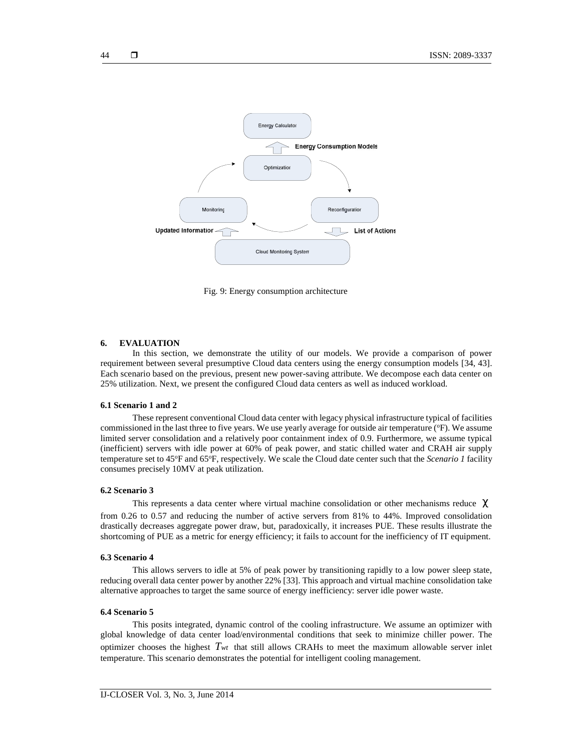

Fig. 9: Energy consumption architecture

# **6. EVALUATION**

In this section, we demonstrate the utility of our models. We provide a comparison of power requirement between several presumptive Cloud data centers using the energy consumption models [34, 43]. Each scenario based on the previous, present new power-saving attribute. We decompose each data center on 25% utilization. Next, we present the configured Cloud data centers as well as induced workload.

## **6.1 Scenario 1 and 2**

These represent conventional Cloud data center with legacy physical infrastructure typical of facilities commissioned in the last three to five years. We use yearly average for outside air temperature ( ${}^{\circ}$ F). We assume limited server consolidation and a relatively poor containment index of 0.9. Furthermore, we assume typical (inefficient) servers with idle power at 60% of peak power, and static chilled water and CRAH air supply temperature set to 45°F and 65°F, respectively. We scale the Cloud date center such that the *Scenario 1* facility consumes precisely 10MV at peak utilization.

## **6.2 Scenario 3**

This represents a data center where virtual machine consolidation or other mechanisms reduce t from 0.26 to 0.57 and reducing the number of active servers from 81% to 44%. Improved consolidation drastically decreases aggregate power draw, but, paradoxically, it increases PUE. These results illustrate the shortcoming of PUE as a metric for energy efficiency; it fails to account for the inefficiency of IT equipment.

## **6.3 Scenario 4**

This allows servers to idle at 5% of peak power by transitioning rapidly to a low power sleep state, reducing overall data center power by another 22% [33]. This approach and virtual machine consolidation take alternative approaches to target the same source of energy inefficiency: server idle power waste.

#### **6.4 Scenario 5**

This posits integrated, dynamic control of the cooling infrastructure. We assume an optimizer with global knowledge of data center load/environmental conditions that seek to minimize chiller power. The optimizer chooses the highest  $T_{wt}$  that still allows CRAHs to meet the maximum allowable server inlet temperature. This scenario demonstrates the potential for intelligent cooling management.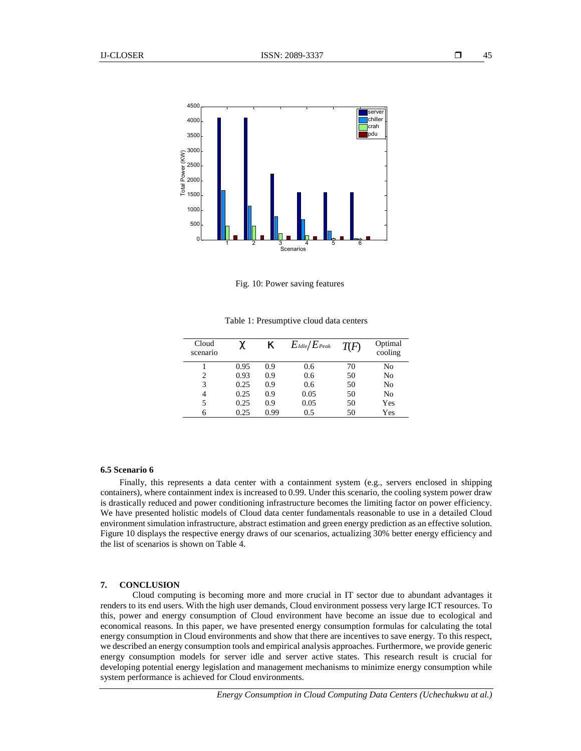

Fig. 10: Power saving features

Table 1: Presumptive cloud data centers

| Cloud<br>scenario |      |      | $E_{\textit{Idle}}/E_{\textit{Peak}}$ | T(F) | Optimal<br>cooling |
|-------------------|------|------|---------------------------------------|------|--------------------|
|                   | 0.95 | 0.9  | 0.6                                   | 70   | No                 |
| 2                 | 0.93 | 0.9  | 0.6                                   | 50   | No                 |
| 3                 | 0.25 | 0.9  | 0.6                                   | 50   | No                 |
| 4                 | 0.25 | 0.9  | 0.05                                  | 50   | No                 |
| 5                 | 0.25 | 0.9  | 0.05                                  | 50   | Yes                |
| 6                 | 0.25 | 0.99 | 0.5                                   | 50   | Yes                |

#### **6.5 Scenario 6**

Finally, this represents a data center with a containment system (e.g., servers enclosed in shipping containers), where containment index is increased to 0.99. Under this scenario, the cooling system power draw is drastically reduced and power conditioning infrastructure becomes the limiting factor on power efficiency. We have presented holistic models of Cloud data center fundamentals reasonable to use in a detailed Cloud environment simulation infrastructure, abstract estimation and green energy prediction as an effective solution. Figure 10 displays the respective energy draws of our scenarios, actualizing 30% better energy efficiency and the list of scenarios is shown on Table 4.

#### **7. CONCLUSION**

Cloud computing is becoming more and more crucial in IT sector due to abundant advantages it renders to its end users. With the high user demands, Cloud environment possess very large ICT resources. To this, power and energy consumption of Cloud environment have become an issue due to ecological and economical reasons. In this paper, we have presented energy consumption formulas for calculating the total energy consumption in Cloud environments and show that there are incentives to save energy. To this respect, we described an energy consumption tools and empirical analysis approaches. Furthermore, we provide generic energy consumption models for server idle and server active states. This research result is crucial for developing potential energy legislation and management mechanisms to minimize energy consumption while system performance is achieved for Cloud environments.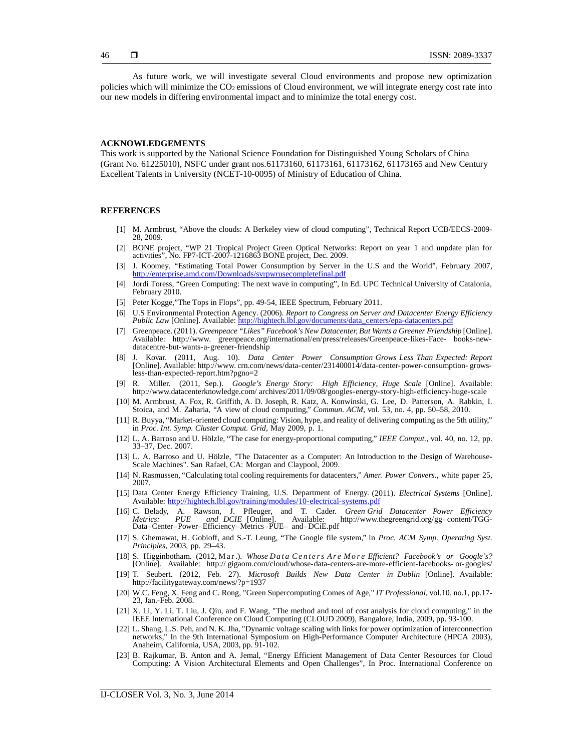As future work, we will investigate several Cloud environments and propose new optimization policies which will minimize the CO<sub>2</sub> emissions of Cloud environment, we will integrate energy cost rate into our new models in differing environmental impact and to minimize the total energy cost.

#### **ACKNOWLEDGEMENTS**

This work is supported by the National Science Foundation for Distinguished Young Scholars of China (Grant No. 61225010), NSFC under grant nos.61173160, 61173161, 61173162, 61173165 and New Century Excellent Talents in University (NCET-10-0095) of Ministry of Education of China.

#### **REFERENCES**

- [1] M. Armbrust, "Above the clouds: A Berkeley view of cloud computing", Technical Report UCB/EECS-2009- 28, 2009.
- [2] BONE project, "WP 21 Tropical Project Green Optical Networks: Report on year 1 and unpdate plan for activities", No. FP7-ICT-2007-1216863 BONE project, Dec. 2009.
- [3] J. Koomey, "Estimating Total Power Consumption by Server in the U.S and the World", February 2007, http://enterprise.amd.com/Downloads/svrpwrusecompletefinal.pdf
- [4] Jordi Toress, "Green Computing: The next wave in computing", In Ed. UPC Technical University of Catalonia, February 2010.
- [5] Peter Kogge,"The Tops in Flops", pp. 49-54, IEEE Spectrum, February 2011.
- [6] U.S Environmental Protection Agency. (2006). *Report to Congress on Server and Datacenter Energy Efficiency Public Law* [Online]. Available: http://hightech.lbl.gov/documents/data\_centers/epa-datacenters.pdf
- [7] Greenpeace. (2011). *Greenpeace "Likes" Facebook's New Datacenter, But Wants a Greener Friendship* [Online]. Available: http://www. greenpeace.org/international/en/press/releases/Greenpeace-likes-Face- books-new- datacentre-but-wants-a-greener-friendship
- [8] J. Kovar. (2011, Aug. 10). *Data Center Power Consumption Grows Less Than Expected: Report* [Online]. Available: http://www. crn.com/news/data-center/231400014/data-center-power-consumption- growsless-than-expected-report.htm?pgno=2
- [9] R. Miller. (2011, Sep.). *Google's Energy Story: High Efficiency, Huge Scale* [Online]. Available: http://www.datacenterknowledge.com/ archives/2011/09/08/googles-energy-story-high-efficiency-huge-scale
- [10] M. Armbrust, A. Fox, R. Griffith, A. D. Joseph, R. Katz, A. Konwinski, G. Lee, D. Patterson, A. Rabkin, I. Stoica, and M. Zaharia, "A view of cloud computing," *Commun. ACM*, vol. 53, no. 4, pp. 50–58, 2010.
- [11] R. Buyya, "Market-oriented cloud computing: Vision, hype, and reality of delivering computing as the 5th utility," in *Proc. Int. Symp. Cluster Comput. Grid*, May 2009, p. 1.
- [12] L. A. Barroso and U. Hölzle, "The case for energy-proportional computing," *IEEE Comput.*, vol. 40, no. 12, pp. 33–37, Dec. 2007.
- [13] L. A. Barroso and U. Hölzle, "The Datacenter as <sup>a</sup> Computer: An Introduction to the Design of Warehouse- Scale Machines". San Rafael, CA: Morgan and Claypool, 2009.
- [14] N. Rasmussen, "Calculating total cooling requirements for datacenters," *Amer. Power Convers.*, white paper 25, 2007.
- [15] Data Center Energy Efficiency Training, U.S. Department of Energy. (2011). *Electrical Systems* [Online]. Available: http://hightech.lbl.gov/training/modules/10-electrical-systems.pdf
- [16] C. Belady, A. Rawson, J. Pfleuger, and T.Cader. *Green Grid Datacenter Power Efficiency Metrics: PUE and DCIE* [Online]. Available: http://www.thegreengrid.org/gg–content/TGG-Data−Center−Power−Efficiency−Metrics−PUE− and−DCiE.pdf Figure 16 (16) C. Belady, A. Rawson, J. Pfleuger, and T. Cader. Green Grid Datacenter Power Efficiency Metrics: PUE and DCIE [Online]. Available:<br> *Facebook DCIE* parameter Power Lefficiency Metrics PUE and DCIE.pdf<br>
[17
- [17] S. Ghemawat, H. Gobioff, and S.-T. Leung, "The Google file system," in *Proc. ACM Symp. Operating Syst. Principles*, 2003, pp. 29–43.
- [Online]. Available: http:// gigaom.com/cloud/whose-data-centers-are-more-efficient-facebooks- or-googles/
- [19] T. Seubert. (2012, Feb. 27). *Microsoft Builds New Data Center in Dublin* [Online]. Available: http://facilitygateway.com/news/?p=1937
- [20] W.C. Feng, X. Feng and C. Rong, "Green Supercomputing Comes of Age," *IT Professional*, vol.10, no.1, pp.17- 23, Jan.-Feb. 2008.
- [21] X. Li, Y. Li, T. Liu, J. Qiu, and F. Wang, "The method and tool of cost analysis for cloud computing," in the IEEE International Conference on Cloud Computing (CLOUD 2009), Bangalore, India, 2009, pp. 93-100.
- [22] L. Shang, L.S. Peh, and N. K. Jha, "Dynamic voltage scaling with links for power optimization of interconnection networks," In the 9th International Symposium on High-Performance Computer Architecture (HPCA 2003), Anaheim, California, USA, 2003, pp. 91-102.
- [23] B. Rajkumar, B. Anton and A. Jemal, "Energy Efficient Management of Data Center Resources for Cloud Computing: A Vision Architectural Elements and Open Challenges", In Proc. International Conference on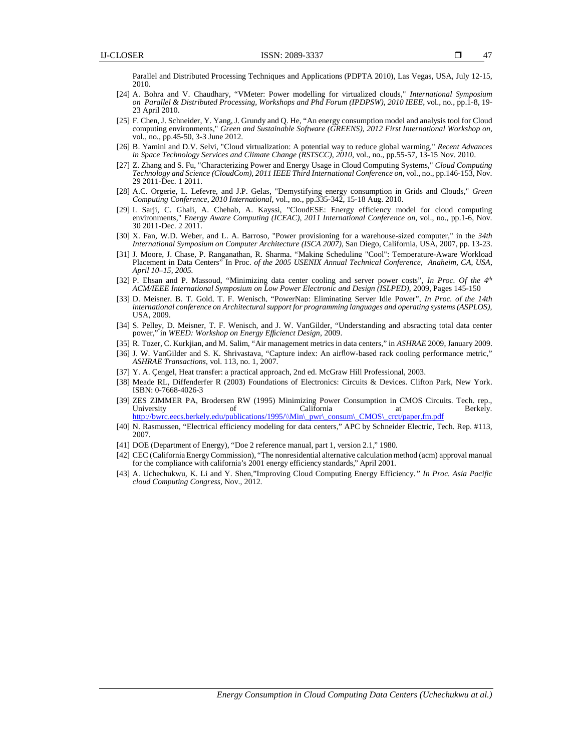Parallel and Distributed Processing Techniques and Applications (PDPTA 2010), Las Vegas, USA, July 12-15, 2010.

- [24] A. Bohra and V. Chaudhary, "VMeter: Power modelling for virtualized clouds," *International Symposium on Parallel & Distributed Processing, Workshops and Phd Forum (IPDPSW), 2010 IEEE*, vol., no., pp.1-8, 19- 23 April 2010.
- [25] F. Chen, J. Schneider, Y. Yang, J. Grundy and Q. He, "An energy consumption model and analysis tool for Cloud computing environments," *Green and Sustainable Software (GREENS), 2012 First International Workshop on*, vol., no., pp.45-50, 3-3 June 2012.
- [26] B. Yamini and D.V. Selvi, "Cloud virtualization: A potential way to reduce global warming," *Recent Advances in Space Technology Services and Climate Change (RSTSCC), 2010*, vol., no., pp.55-57, 13-15 Nov. 2010.
- [27] Z. Zhang and S. Fu, "Characterizing Power and Energy Usage in Cloud Computing Systems," *Cloud Computing Technology and Science (CloudCom), 2011 IEEE Third International Conference on*, vol., no., pp.146-153, Nov. 29 2011-Dec. 1 2011.
- [28] A.C. Orgerie, L. Lefevre, and J.P. Gelas, "Demystifying energy consumption in Grids and Clouds," *Green Computing Conference, 2010 International*, vol., no., pp.335-342, 15-18 Aug. 2010.
- [29] I. Sarji, C. Ghali, A. Chehab, A. Kayssi, "CloudESE: Energy efficiency model for cloud computing environments," *Energy Aware Computing (ICEAC), 2011 International Conference on*, vol., no., pp.1-6, Nov. 30 2011-Dec. 2 2011.
- [30] X. Fan, W.D. Weber, and L. A. Barroso, "Power provisioning for a warehouse-sized computer," in the *34th International Symposium on Computer Architecture (ISCA 2007)*, San Diego, California, USA, 2007, pp. 13-23.
- [31] J. Moore, J. Chase, P. Ranganathan, R. Sharma, "Making Scheduling "Cool": Temperature-Aware Workload Placement in Data Centers" In Proc. *of the 2005 USENIX Annual Technical Conference, Anaheim, CA, USA, April 10–15, 2005.*
- [32] P. Ehsan and P. Massoud, "Minimizing data center cooling and server power costs", In Proc. Of the 4<sup>th</sup> ACM/IEEE International Symposium on Low Power Electronic and Design (ISLPED), 2009, Pages 145-150
- [33] D. Meisner, B. T. Gold, T. F. Wenisch, "PowerNap: Eliminating Server Idle Power", *In Proc. of the 14th international conference on Architectural support for programming languages and operating systems (ASPLOS),* USA, 2009.
- [34] S. Pelley, D. Meisner, T. F. Wenisch, and J. W. VanGilder, "Understanding and absracting total data center power," in *WEED: Workshop on Energy Efficienct Design,* 2009.
- [35] R. Tozer, C. Kurkjian, and M. Salim, "Air management metrics in data centers," in *ASHRAE* 2009, January 2009.
- [36] J. W. VanGilder and S. K. Shrivastava, "Capture index: An airflow-based rack cooling performance metric," *ASHRAE Transactions*, vol. 113, no. 1, 2007.
- [37] Y. A. Çengel, Heat transfer: a practical approach, 2nd ed. McGraw Hill Professional, 2003.
- [38] Meade RL, Diffenderfer R (2003) Foundations of Electronics: Circuits & Devices. Clifton Park, New York. ISBN: 0-7668-4026-3
- [39] ZES ZIMMER PA, Brodersen RW (1995) Minimizing Power Consumption in CMOS Circuits. Tech. rep., University of California at Berkely. http://bwrc.eecs.berkely.edu/publications/1995/\\Min\\_pwr\\_consum\\_CMOS\\_crct/paper.fm.pdf
- [40] N. Rasmussen, "Electrical efficiency modeling for data centers," APC by Schneider Electric, Tech. Rep. #113, 2007.
- [41] DOE (Department of Energy), "Doe 2 reference manual, part 1, version 2.1," 1980.
- [42] CEC (California Energy Commission), "The nonresidential alternative calculation method (acm) approval manual for the compliance with california's 2001 energy efficiency standards," April 2001.
- [43] A. Uchechukwu, K. Li and Y. Shen,"Improving Cloud Computing Energy Efficiency*." In Proc. Asia Pacific cloud Computing Congress,* Nov., 2012.